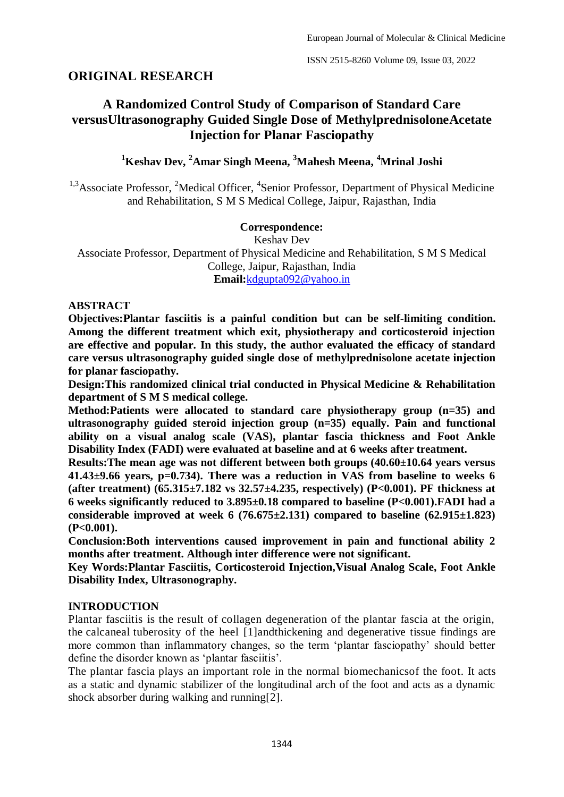# **ORIGINAL RESEARCH**

# **A Randomized Control Study of Comparison of Standard Care versusUltrasonography Guided Single Dose of MethylprednisoloneAcetate Injection for Planar Fasciopathy**

# **<sup>1</sup>Keshav Dev, <sup>2</sup>Amar Singh Meena, <sup>3</sup>Mahesh Meena, <sup>4</sup>Mrinal Joshi**

<sup>1,3</sup> Associate Professor, <sup>2</sup> Medical Officer, <sup>4</sup> Senior Professor, Department of Physical Medicine and Rehabilitation, S M S Medical College, Jaipur, Rajasthan, India

### **Correspondence:**

Keshav Dev Associate Professor, Department of Physical Medicine and Rehabilitation, S M S Medical College, Jaipur, Rajasthan, India **Email:**[kdgupta092@yahoo.in](mailto:kdgupta092@yahoo.in)

## **ABSTRACT**

**Objectives:Plantar fasciitis is a painful condition but can be self-limiting condition. Among the different treatment which exit, physiotherapy and corticosteroid injection are effective and popular. In this study, the author evaluated the efficacy of standard care versus ultrasonography guided single dose of methylprednisolone acetate injection for planar fasciopathy.** 

**Design:This randomized clinical trial conducted in Physical Medicine & Rehabilitation department of S M S medical college.** 

**Method:Patients were allocated to standard care physiotherapy group (n=35) and ultrasonography guided steroid injection group (n=35) equally. Pain and functional ability on a visual analog scale (VAS), plantar fascia thickness and Foot Ankle Disability Index (FADI) were evaluated at baseline and at 6 weeks after treatment.**

**Results:The mean age was not different between both groups (40.60±10.64 years versus 41.43±9.66 years, p=0.734). There was a reduction in VAS from baseline to weeks 6 (after treatment) (65.315±7.182 vs 32.57±4.235, respectively) (P<0.001). PF thickness at 6 weeks significantly reduced to 3.895±0.18 compared to baseline (P<0.001).FADI had a**  considerable improved at week  $6(76.675 \pm 2.131)$  compared to baseline  $(62.915 \pm 1.823)$ **(P<0.001).**

**Conclusion:Both interventions caused improvement in pain and functional ability 2 months after treatment. Although inter difference were not significant.**

**Key Words:Plantar Fasciitis, Corticosteroid Injection,Visual Analog Scale, Foot Ankle Disability Index, Ultrasonography.**

## **INTRODUCTION**

Plantar fasciitis is the result of collagen degeneration of the plantar fascia at the origin, the [calcaneal](https://www.physio-pedia.com/Calcaneus) tuberosity of the heel [1]andthickening and degenerative tissue findings are more common than inflammatory changes, so the term 'plantar fasciopathy' should better define the disorder known as 'plantar fasciitis'.

The plantar fascia plays an important role in the normal [biomechanicso](https://www.physio-pedia.com/Biomechanics_of_Foot_and_Ankle)f the foot. It acts as a static and dynamic stabilizer of the longitudinal arch of the foot and acts as a dynamic shock absorber during walking and running[2].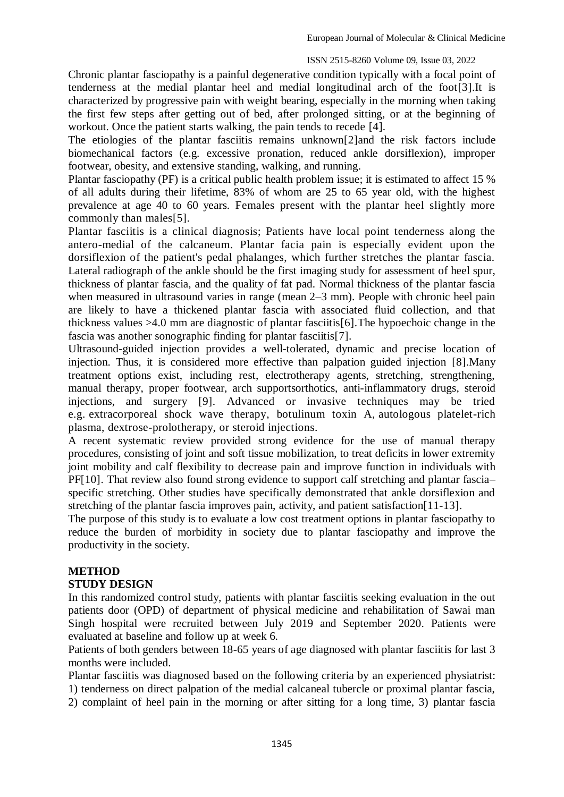Chronic plantar fasciopathy is a painful degenerative condition typically with a focal point of tenderness at the medial plantar heel and medial longitudinal arch of the foot[3].It is characterized by progressive pain with weight bearing, especially in the morning when taking the first few steps after getting out of bed, after prolonged sitting, or at the beginning of workout. Once the patient starts walking, the pain tends to recede [4].

The etiologies of the plantar fasciitis remains unknown[2]and the risk factors include biomechanical factors (e.g. excessive pronation, reduced ankle dorsiflexion), improper footwear, obesity, and extensive standing, walking, and running.

Plantar fasciopathy (PF) is a critical public health problem issue; it is estimated to affect 15 % of all adults during their lifetime, 83% of whom are 25 to 65 year old, with the highest prevalence at age 40 to 60 years. Females present with the plantar heel slightly more commonly than males[5].

Plantar fasciitis is a clinical diagnosis; Patients have local point tenderness along the antero-medial of the calcaneum. Plantar facia pain is especially evident upon the dorsiflexion of the patient's pedal phalanges, which further stretches the plantar fascia. Lateral radiograph of the ankle should be the first imaging study for assessment of heel spur, thickness of plantar fascia, and the quality of fat pad. Normal thickness of the plantar fascia when measured in ultrasound varies in range (mean 2–3 mm). People with chronic heel pain are likely to have a thickened plantar fascia with associated fluid collection, and that thickness values >4.0 mm are diagnostic of plantar fasciitis[6].The hypoechoic change in the fascia was another sonographic finding for plantar fasciitis[7].

Ultrasound-guided injection provides a well-tolerated, dynamic and precise location of injection. Thus, it is considered more effective than palpation guided injection [8].Many treatment options exist, including rest, electrotherapy agents, stretching, strengthening, manual therapy, proper footwear, arch supportsorthotics, anti-inflammatory drugs, steroid injections, and surgery [9]. Advanced or invasive techniques may be tried e.g. [extracorporeal shock wave therapy,](https://www.physio-pedia.com/Extracorporeal_shockwave_therapy_(ESWT)) botulinum toxin A, autologous platelet-rich plasma, dextrose-prolotherapy, or steroid injections.

A recent systematic review provided strong evidence for the use of manual therapy procedures, consisting of joint and soft tissue mobilization, to treat deficits in lower extremity joint mobility and calf flexibility to decrease pain and improve function in individuals with PF[10]. That review also found strong evidence to support calf stretching and plantar fascia– specific stretching. Other studies have specifically demonstrated that ankle dorsiflexion and stretching of the plantar fascia improves pain, activity, and patient satisfaction[11-13].

The purpose of this study is to evaluate a low cost treatment options in plantar fasciopathy to reduce the burden of morbidity in society due to plantar fasciopathy and improve the productivity in the society.

## **METHOD**

### **STUDY DESIGN**

In this randomized control study, patients with plantar fasciitis seeking evaluation in the out patients door (OPD) of department of physical medicine and rehabilitation of Sawai man Singh hospital were recruited between July 2019 and September 2020. Patients were evaluated at baseline and follow up at week 6.

Patients of both genders between 18-65 years of age diagnosed with plantar fasciitis for last 3 months were included.

Plantar fasciitis was diagnosed based on the following criteria by an experienced physiatrist: 1) tenderness on direct palpation of the medial calcaneal tubercle or proximal plantar fascia,

2) complaint of heel pain in the morning or after sitting for a long time, 3) plantar fascia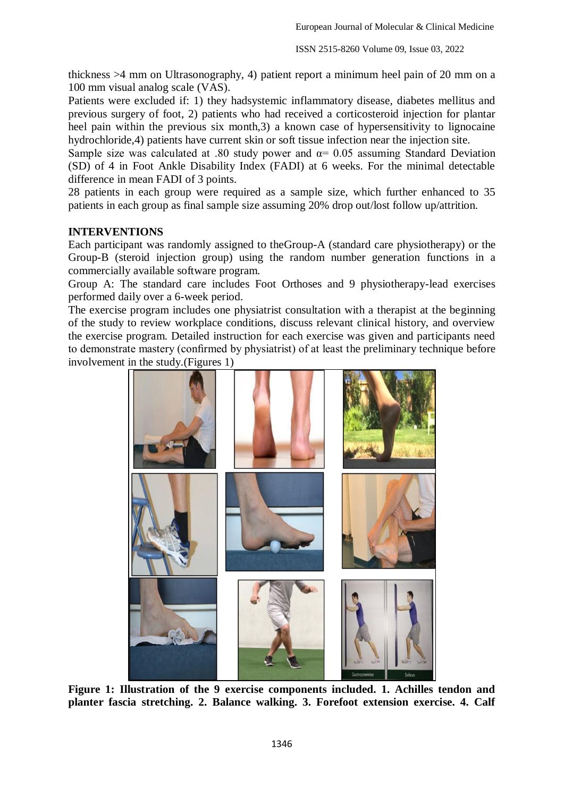thickness >4 mm on Ultrasonography, 4) patient report a minimum heel pain of 20 mm on a 100 mm visual analog scale (VAS).

Patients were excluded if: 1) they hadsystemic inflammatory disease, diabetes mellitus and previous surgery of foot, 2) patients who had received a corticosteroid injection for plantar heel pain within the previous six month,3) a known case of hypersensitivity to lignocaine hydrochloride,4) patients have current skin or soft tissue infection near the injection site.

Sample size was calculated at .80 study power and  $\alpha$  = 0.05 assuming Standard Deviation (SD) of 4 in Foot Ankle Disability Index (FADI) at 6 weeks. For the minimal detectable difference in mean FADI of 3 points.

28 patients in each group were required as a sample size, which further enhanced to 35 patients in each group as final sample size assuming 20% drop out/lost follow up/attrition.

### **INTERVENTIONS**

Each participant was randomly assigned to theGroup-A (standard care physiotherapy) or the Group-B (steroid injection group) using the random number generation functions in a commercially available software program.

Group A: The standard care includes Foot Orthoses and 9 physiotherapy-lead exercises performed daily over a 6-week period.

The exercise program includes one physiatrist consultation with a therapist at the beginning of the study to review workplace conditions, discuss relevant clinical history, and overview the exercise program. Detailed instruction for each exercise was given and participants need to demonstrate mastery (confirmed by physiatrist) of at least the preliminary technique before involvement in the study.(Figures 1)



**Figure 1: Illustration of the 9 exercise components included. 1. Achilles tendon and planter fascia stretching. 2. Balance walking. 3. Forefoot extension exercise. 4. Calf**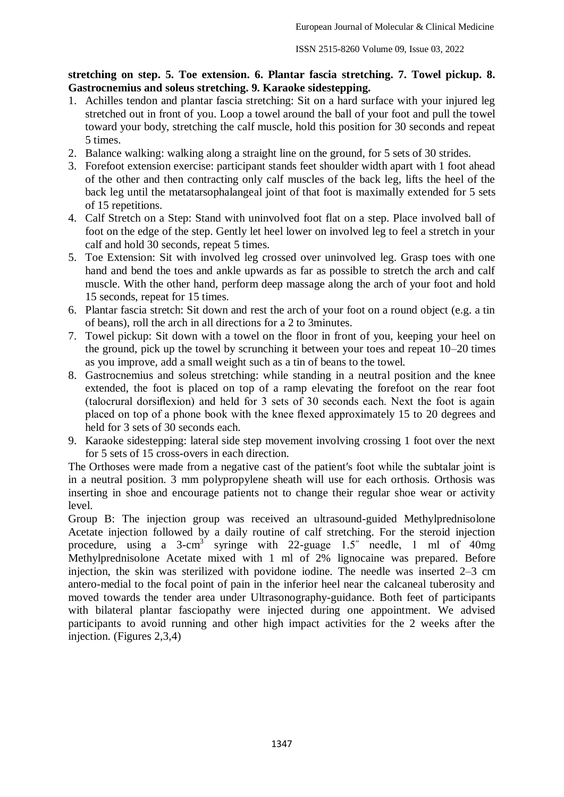## **stretching on step. 5. Toe extension. 6. Plantar fascia stretching. 7. Towel pickup. 8. Gastrocnemius and soleus stretching. 9. Karaoke sidestepping.**

- 1. Achilles tendon and plantar fascia stretching: Sit on a hard surface with your injured leg stretched out in front of you. Loop a towel around the ball of your foot and pull the towel toward your body, stretching the calf muscle, hold this position for 30 seconds and repeat 5 times.
- 2. Balance walking: walking along a straight line on the ground, for 5 sets of 30 strides.
- 3. Forefoot extension exercise: participant stands feet shoulder width apart with 1 foot ahead of the other and then contracting only calf muscles of the back leg, lifts the heel of the back leg until the metatarsophalangeal joint of that foot is maximally extended for 5 sets of 15 repetitions.
- 4. Calf Stretch on a Step: Stand with uninvolved foot flat on a step. Place involved ball of foot on the edge of the step. Gently let heel lower on involved leg to feel a stretch in your calf and hold 30 seconds, repeat 5 times.
- 5. Toe Extension: Sit with involved leg crossed over uninvolved leg. Grasp toes with one hand and bend the toes and ankle upwards as far as possible to stretch the arch and calf muscle. With the other hand, perform deep massage along the arch of your foot and hold 15 seconds, repeat for 15 times.
- 6. Plantar fascia stretch: Sit down and rest the arch of your foot on a round object (e.g. a tin of beans), roll the arch in all directions for a 2 to 3minutes.
- 7. Towel pickup: Sit down with a towel on the floor in front of you, keeping your heel on the ground, pick up the towel by scrunching it between your toes and repeat 10–20 times as you improve, add a small weight such as a tin of beans to the towel.
- 8. Gastrocnemius and soleus stretching: while standing in a neutral position and the knee extended, the foot is placed on top of a ramp elevating the forefoot on the rear foot (talocrural dorsiflexion) and held for 3 sets of 30 seconds each. Next the foot is again placed on top of a phone book with the knee flexed approximately 15 to 20 degrees and held for 3 sets of 30 seconds each.
- 9. Karaoke sidestepping: lateral side step movement involving crossing 1 foot over the next for 5 sets of 15 cross-overs in each direction.

The Orthoses were made from a negative cast of the patient′s foot while the subtalar joint is in a neutral position. 3 mm polypropylene sheath will use for each orthosis. Orthosis was inserting in shoe and encourage patients not to change their regular shoe wear or activity level.

Group B: The injection group was received an ultrasound-guided Methylprednisolone Acetate injection followed by a daily routine of calf stretching. For the steroid injection procedure, using a  $3$ -cm<sup>3</sup> syringe with 22-guage 1.5<sup>"</sup> needle, 1 ml of 40mg Methylprednisolone Acetate mixed with 1 ml of 2% lignocaine was prepared. Before injection, the skin was sterilized with povidone iodine. The needle was inserted 2–3 cm antero-medial to the focal point of pain in the inferior heel near the calcaneal tuberosity and moved towards the tender area under Ultrasonography-guidance. Both feet of participants with bilateral plantar fasciopathy were injected during one appointment. We advised participants to avoid running and other high impact activities for the 2 weeks after the injection. (Figures 2,3,4)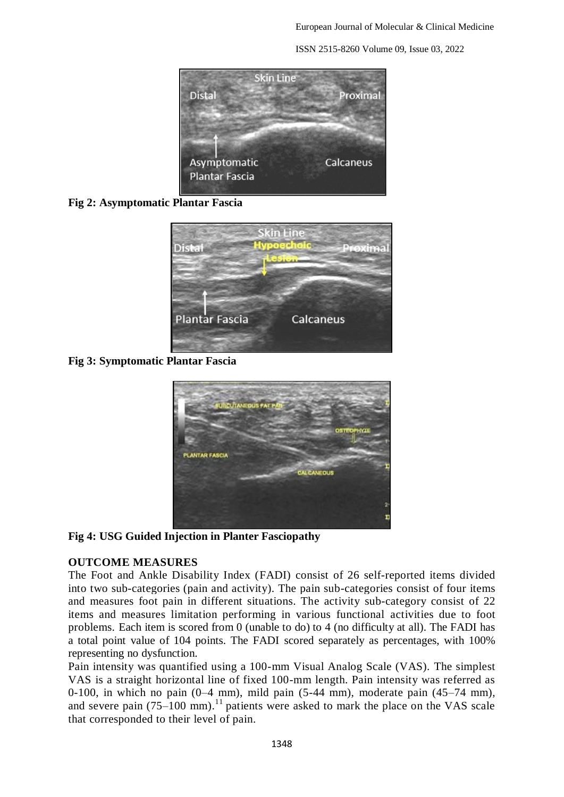

**Fig 2: Asymptomatic Plantar Fascia**



**Fig 3: Symptomatic Plantar Fascia**



**Fig 4: USG Guided Injection in Planter Fasciopathy**

## **OUTCOME MEASURES**

The Foot and Ankle Disability Index (FADI) consist of 26 self-reported items divided into two sub-categories (pain and activity). The pain sub-categories consist of four items and measures foot pain in different situations. The activity sub-category consist of 22 items and measures limitation performing in various functional activities due to foot problems. Each item is scored from 0 (unable to do) to 4 (no difficulty at all). The FADI has a total point value of 104 points. The FADI scored separately as percentages, with 100% representing no dysfunction.

Pain intensity was quantified using a 100-mm Visual Analog Scale (VAS). The simplest VAS is a straight horizontal line of fixed 100-mm length. Pain intensity was referred as 0-100, in which no pain  $(0-4 \text{ mm})$ , mild pain  $(5-44 \text{ mm})$ , moderate pain  $(45-74 \text{ mm})$ , and severe pain  $(75-100 \text{ mm})$ .<sup>11</sup> patients were asked to mark the place on the VAS scale that corresponded to their level of pain.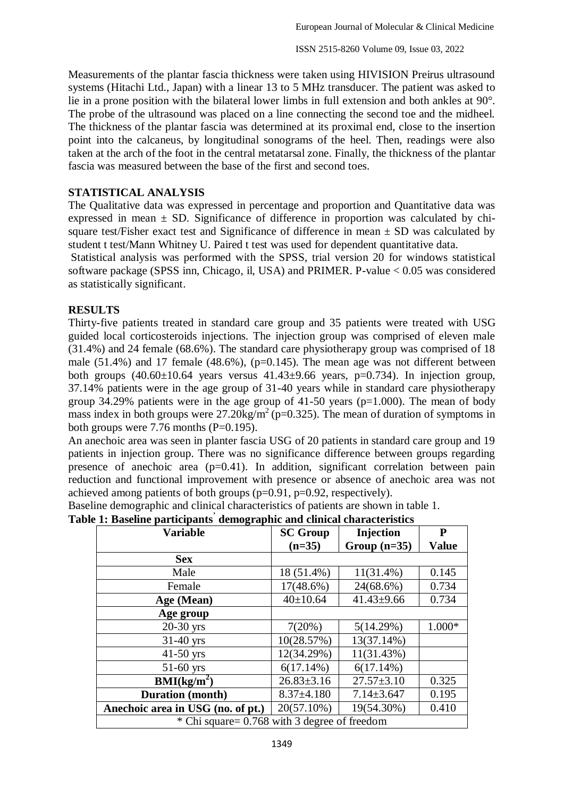Measurements of the plantar fascia thickness were taken using HIVISION Preirus ultrasound systems (Hitachi Ltd., Japan) with a linear 13 to 5 MHz transducer. The patient was asked to lie in a prone position with the bilateral lower limbs in full extension and both ankles at 90°. The probe of the ultrasound was placed on a line connecting the second toe and the midheel. The thickness of the plantar fascia was determined at its proximal end, close to the insertion point into the calcaneus, by longitudinal sonograms of the heel. Then, readings were also taken at the arch of the foot in the central metatarsal zone. Finally, the thickness of the plantar fascia was measured between the base of the first and second toes.

### **STATISTICAL ANALYSIS**

The Qualitative data was expressed in percentage and proportion and Quantitative data was expressed in mean  $\pm$  SD. Significance of difference in proportion was calculated by chisquare test/Fisher exact test and Significance of difference in mean  $\pm$  SD was calculated by student t test/Mann Whitney U. Paired t test was used for dependent quantitative data.

Statistical analysis was performed with the SPSS, trial version 20 for windows statistical software package (SPSS inn, Chicago, il, USA) and PRIMER. P-value < 0.05 was considered as statistically significant.

### **RESULTS**

Thirty-five patients treated in standard care group and 35 patients were treated with USG guided local corticosteroids injections. The injection group was comprised of eleven male (31.4%) and 24 female (68.6%). The standard care physiotherapy group was comprised of 18 male (51.4%) and 17 female (48.6%), (p=0.145). The mean age was not different between both groups  $(40.60\pm10.64$  years versus  $41.43\pm9.66$  years, p=0.734). In injection group, 37.14% patients were in the age group of 31-40 years while in standard care physiotherapy group 34.29% patients were in the age group of  $41-50$  years ( $p=1.000$ ). The mean of body mass index in both groups were  $27.20 \text{kg/m}^2$  (p=0.325). The mean of duration of symptoms in both groups were  $7.76$  months (P=0.195).

An anechoic area was seen in planter fascia USG of 20 patients in standard care group and 19 patients in injection group. There was no significance difference between groups regarding presence of anechoic area  $(p=0.41)$ . In addition, significant correlation between pain reduction and functional improvement with presence or absence of anechoic area was not achieved among patients of both groups  $(p=0.91, p=0.92,$  respectively).

Baseline demographic and clinical characteristics of patients are shown in table 1.

|  |  | Table 1: Baseline participants demographic and clinical characteristics |  |
|--|--|-------------------------------------------------------------------------|--|

| <b>Variable</b>                   | <b>SC Group</b>                              | Injection        | P            |  |  |  |
|-----------------------------------|----------------------------------------------|------------------|--------------|--|--|--|
|                                   | $(n=35)$                                     | Group $(n=35)$   | <b>Value</b> |  |  |  |
| <b>Sex</b>                        |                                              |                  |              |  |  |  |
| Male                              | 18 (51.4%)                                   | $11(31.4\%)$     | 0.145        |  |  |  |
| Female                            | $17(48.6\%)$                                 | 24(68.6%)        | 0.734        |  |  |  |
| Age (Mean)                        | $40 \pm 10.64$                               | $41.43 \pm 9.66$ | 0.734        |  |  |  |
| Age group                         |                                              |                  |              |  |  |  |
| $20-30$ yrs                       | 7(20%)                                       | 5(14.29%)        | 1.000*       |  |  |  |
| $31-40$ yrs                       | 10(28.57%)                                   | 13(37.14%)       |              |  |  |  |
| $41-50$ yrs                       | 12(34.29%)                                   | 11(31.43%)       |              |  |  |  |
| $51-60$ yrs                       | $6(17.14\%)$                                 | $6(17.14\%)$     |              |  |  |  |
| BMI(kg/m <sup>2</sup> )           | $26.83 \pm 3.16$                             | $27.57 \pm 3.10$ | 0.325        |  |  |  |
| <b>Duration</b> (month)           | $8.37 \pm 4.180$                             | $7.14 \pm 3.647$ | 0.195        |  |  |  |
| Anechoic area in USG (no. of pt.) | 20(57.10%)                                   | 19(54.30%)       | 0.410        |  |  |  |
|                                   | * Chi square= 0.768 with 3 degree of freedom |                  |              |  |  |  |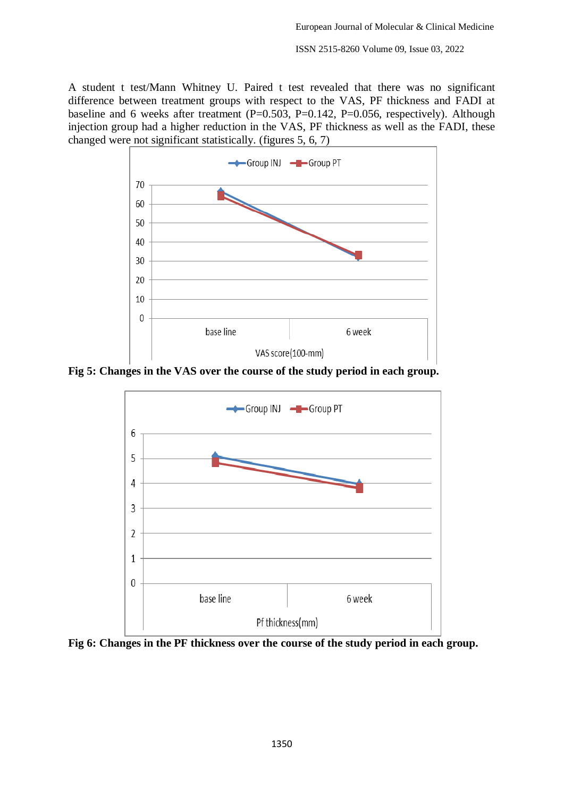A student t test/Mann Whitney U. Paired t test revealed that there was no significant difference between treatment groups with respect to the VAS, PF thickness and FADI at baseline and 6 weeks after treatment (P=0.503, P=0.142, P=0.056, respectively). Although injection group had a higher reduction in the VAS, PF thickness as well as the FADI, these changed were not significant statistically. (figures 5, 6, 7)



**Fig 5: Changes in the VAS over the course of the study period in each group.**



**Fig 6: Changes in the PF thickness over the course of the study period in each group.**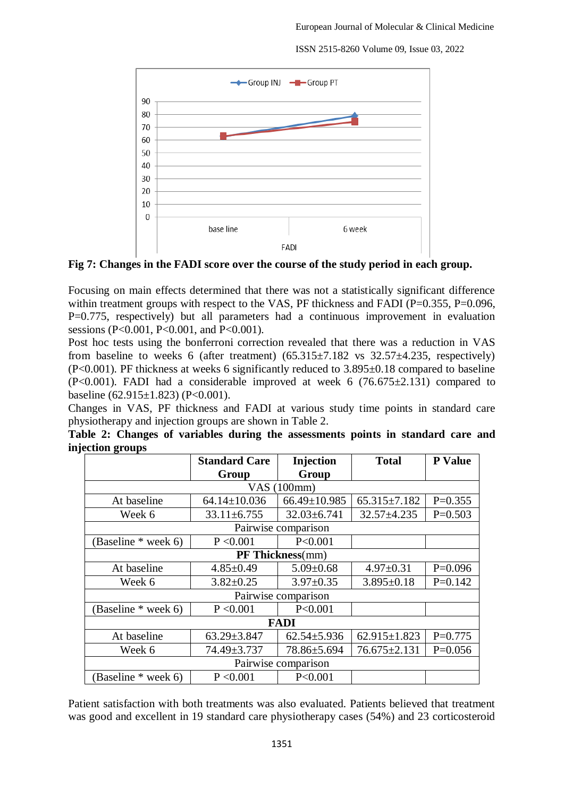

**Fig 7: Changes in the FADI score over the course of the study period in each group.**

Focusing on main effects determined that there was not a statistically significant difference within treatment groups with respect to the VAS, PF thickness and FADI (P=0.355, P=0.096, P=0.775, respectively) but all parameters had a continuous improvement in evaluation sessions (P<0.001, P<0.001, and P<0.001).

Post hoc tests using the bonferroni correction revealed that there was a reduction in VAS from baseline to weeks 6 (after treatment)  $(65.315 \pm 7.182 \text{ vs } 32.57 \pm 4.235, \text{ respectively})$ (P<0.001). PF thickness at weeks 6 significantly reduced to 3.895±0.18 compared to baseline  $(P<0.001)$ . FADI had a considerable improved at week 6 (76.675 $\pm$ 2.131) compared to baseline (62.915 $\pm$ 1.823) (P<0.001).

Changes in VAS, PF thickness and FADI at various study time points in standard care physiotherapy and injection groups are shown in Table 2.

|  |                  |  |  | Table 2: Changes of variables during the assessments points in standard care and |  |  |  |
|--|------------------|--|--|----------------------------------------------------------------------------------|--|--|--|
|  | injection groups |  |  |                                                                                  |  |  |  |

|                     | <b>Standard Care</b> | Injection          | <b>Total</b>       | <b>P</b> Value |  |  |  |  |  |  |
|---------------------|----------------------|--------------------|--------------------|----------------|--|--|--|--|--|--|
|                     | Group                | Group              |                    |                |  |  |  |  |  |  |
|                     |                      | VAS (100mm)        |                    |                |  |  |  |  |  |  |
| At baseline         | $64.14 \pm 10.036$   | $66.49 \pm 10.985$ | $65.315 \pm 7.182$ | $P=0.355$      |  |  |  |  |  |  |
| Week 6              | $33.11 \pm 6.755$    | $32.03 \pm 6.741$  | $32.57 + 4.235$    | $P=0.503$      |  |  |  |  |  |  |
| Pairwise comparison |                      |                    |                    |                |  |  |  |  |  |  |
| (Baseline * week 6) | P < 0.001            | P < 0.001          |                    |                |  |  |  |  |  |  |
| PF Thickness(mm)    |                      |                    |                    |                |  |  |  |  |  |  |
| At baseline         | $4.85 \pm 0.49$      | $5.09 \pm 0.68$    | $4.97 \pm 0.31$    | $P=0.096$      |  |  |  |  |  |  |
| Week 6              | $3.82 \pm 0.25$      | $3.97 \pm 0.35$    | $3.895 \pm 0.18$   | $P=0.142$      |  |  |  |  |  |  |
| Pairwise comparison |                      |                    |                    |                |  |  |  |  |  |  |
| (Baseline * week 6) | P < 0.001            | P<0.001            |                    |                |  |  |  |  |  |  |
| <b>FADI</b>         |                      |                    |                    |                |  |  |  |  |  |  |
| At baseline         | $63.29 \pm 3.847$    | $62.54 \pm 5.936$  | $62.915 \pm 1.823$ | $P=0.775$      |  |  |  |  |  |  |
| Week 6              | 74.49±3.737          | 78.86±5.694        | $76.675 \pm 2.131$ | $P=0.056$      |  |  |  |  |  |  |
| Pairwise comparison |                      |                    |                    |                |  |  |  |  |  |  |
| (Baseline * week 6) | P < 0.001            | P<0.001            |                    |                |  |  |  |  |  |  |

Patient satisfaction with both treatments was also evaluated. Patients believed that treatment was good and excellent in 19 standard care physiotherapy cases (54%) and 23 corticosteroid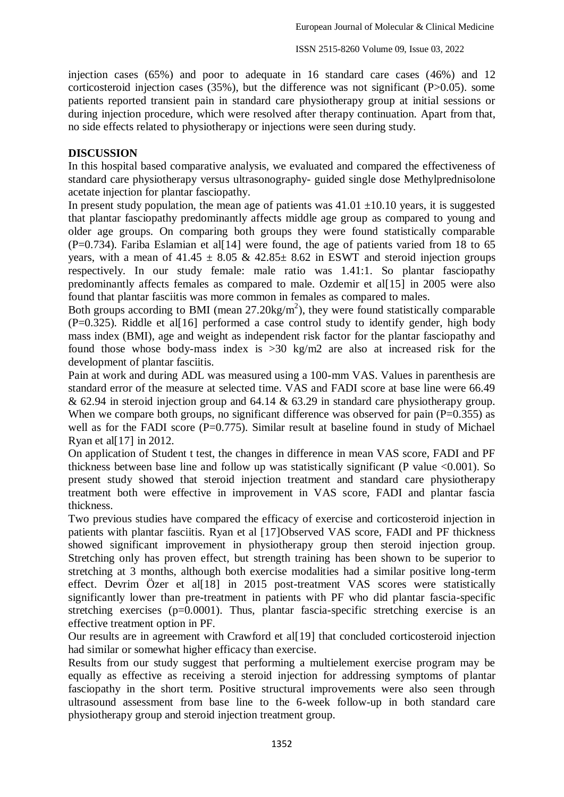injection cases (65%) and poor to adequate in 16 standard care cases (46%) and 12 corticosteroid injection cases (35%), but the difference was not significant (P>0.05). some patients reported transient pain in standard care physiotherapy group at initial sessions or during injection procedure, which were resolved after therapy continuation. Apart from that, no side effects related to physiotherapy or injections were seen during study.

### **DISCUSSION**

In this hospital based comparative analysis, we evaluated and compared the effectiveness of standard care physiotherapy versus ultrasonography- guided single dose Methylprednisolone acetate injection for plantar fasciopathy.

In present study population, the mean age of patients was  $41.01 \pm 10.10$  years, it is suggested that plantar fasciopathy predominantly affects middle age group as compared to young and older age groups. On comparing both groups they were found statistically comparable  $(P=0.734)$ . Fariba Eslamian et all 14 were found, the age of patients varied from 18 to 65 years, with a mean of  $41.45 \pm 8.05 \& 42.85 \pm 8.62$  in ESWT and steroid injection groups respectively. In our study female: male ratio was 1.41:1. So plantar fasciopathy predominantly affects females as compared to male. Ozdemir et al[15] in 2005 were also found that plantar fasciitis was more common in females as compared to males.

Both groups according to BMI (mean  $27.20 \text{kg/m}^2$ ), they were found statistically comparable  $(P=0.325)$ . Riddle et al[16] performed a case control study to identify gender, high body mass index (BMI), age and weight as independent risk factor for the plantar fasciopathy and found those whose body-mass index is >30 kg/m2 are also at increased risk for the development of plantar fasciitis.

Pain at work and during ADL was measured using a 100-mm VAS. Values in parenthesis are standard error of the measure at selected time. VAS and FADI score at base line were 66.49 & 62.94 in steroid injection group and 64.14 & 63.29 in standard care physiotherapy group. When we compare both groups, no significant difference was observed for pain  $(P=0.355)$  as well as for the FADI score (P=0.775). Similar result at baseline found in study of Michael Ryan et al[17] in 2012.

On application of Student t test, the changes in difference in mean VAS score, FADI and PF thickness between base line and follow up was statistically significant (P value  $\leq 0.001$ ). So present study showed that steroid injection treatment and standard care physiotherapy treatment both were effective in improvement in VAS score, FADI and plantar fascia thickness.

Two previous studies have compared the efficacy of exercise and corticosteroid injection in patients with plantar fasciitis. Ryan et al [17]Observed VAS score, FADI and PF thickness showed significant improvement in physiotherapy group then steroid injection group. Stretching only has proven effect, but strength training has been shown to be superior to stretching at 3 months, although both exercise modalities had a similar positive long-term effect. Devrim Özer et al[18] in 2015 post-treatment VAS scores were statistically significantly lower than pre-treatment in patients with PF who did plantar fascia-specific stretching exercises  $(p=0.0001)$ . Thus, plantar fascia-specific stretching exercise is an effective treatment option in PF.

Our results are in agreement with Crawford et al[19] that concluded corticosteroid injection had similar or somewhat higher efficacy than exercise.

Results from our study suggest that performing a multielement exercise program may be equally as effective as receiving a steroid injection for addressing symptoms of plantar fasciopathy in the short term. Positive structural improvements were also seen through ultrasound assessment from base line to the 6-week follow-up in both standard care physiotherapy group and steroid injection treatment group.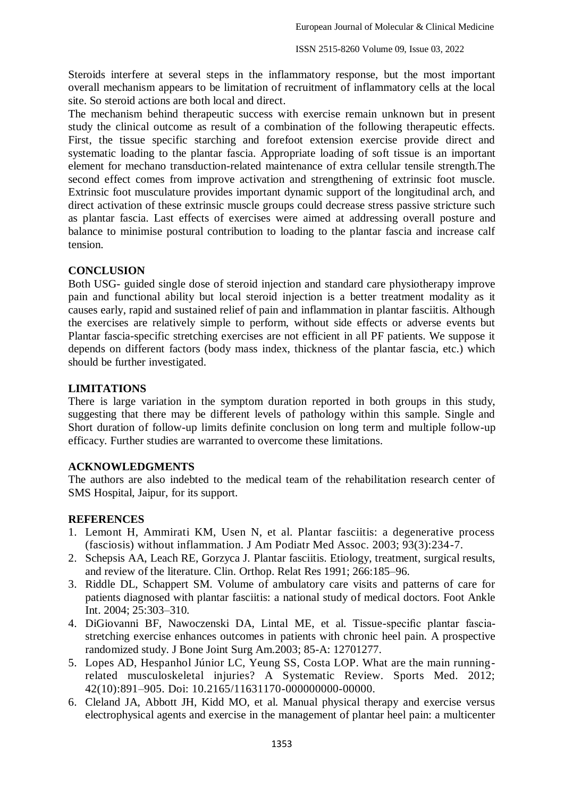Steroids interfere at several steps in the inflammatory response, but the most important overall mechanism appears to be limitation of recruitment of inflammatory cells at the local site. So steroid actions are both local and direct.

The mechanism behind therapeutic success with exercise remain unknown but in present study the clinical outcome as result of a combination of the following therapeutic effects. First, the tissue specific starching and forefoot extension exercise provide direct and systematic loading to the plantar fascia. Appropriate loading of soft tissue is an important element for mechano transduction-related maintenance of extra cellular tensile strength.The second effect comes from improve activation and strengthening of extrinsic foot muscle. Extrinsic foot musculature provides important dynamic support of the longitudinal arch, and direct activation of these extrinsic muscle groups could decrease stress passive stricture such as plantar fascia. Last effects of exercises were aimed at addressing overall posture and balance to minimise postural contribution to loading to the plantar fascia and increase calf tension.

### **CONCLUSION**

Both USG- guided single dose of steroid injection and standard care physiotherapy improve pain and functional ability but local steroid injection is a better treatment modality as it causes early, rapid and sustained relief of pain and inflammation in plantar fasciitis. Although the exercises are relatively simple to perform, without side effects or adverse events but Plantar fascia-specific stretching exercises are not efficient in all PF patients. We suppose it depends on different factors (body mass index, thickness of the plantar fascia, etc.) which should be further investigated.

## **LIMITATIONS**

There is large variation in the symptom duration reported in both groups in this study, suggesting that there may be different levels of pathology within this sample. Single and Short duration of follow-up limits definite conclusion on long term and multiple follow-up efficacy. Further studies are warranted to overcome these limitations.

### **ACKNOWLEDGMENTS**

The authors are also indebted to the medical team of the rehabilitation research center of SMS Hospital, Jaipur, for its support.

## **REFERENCES**

- 1. Lemont H, Ammirati KM, Usen N, et al. Plantar fasciitis: a degenerative process (fasciosis) without inflammation. J Am Podiatr Med Assoc. 2003; 93(3):234-7.
- 2. Schepsis AA, Leach RE, Gorzyca J. Plantar fasciitis. Etiology, treatment, surgical results, and review of the literature. Clin. Orthop. Relat Res 1991; 266:185–96.
- 3. Riddle DL, Schappert SM. Volume of ambulatory care visits and patterns of care for patients diagnosed with plantar fasciitis: a national study of medical doctors. Foot Ankle Int. 2004; 25:303–310.
- 4. DiGiovanni BF, Nawoczenski DA, Lintal ME, et al. Tissue-specific plantar fasciastretching exercise enhances outcomes in patients with chronic heel pain. A prospective randomized study. J Bone Joint Surg Am.2003; 85-A: 12701277.
- 5. Lopes AD, Hespanhol Júnior LC, Yeung SS, Costa LOP. What are the main runningrelated musculoskeletal injuries? A Systematic Review. Sports Med. 2012; 42(10):891–905. Doi: 10.2165/11631170-000000000-00000.
- 6. Cleland JA, Abbott JH, Kidd MO, et al. Manual physical therapy and exercise versus electrophysical agents and exercise in the management of plantar heel pain: a multicenter